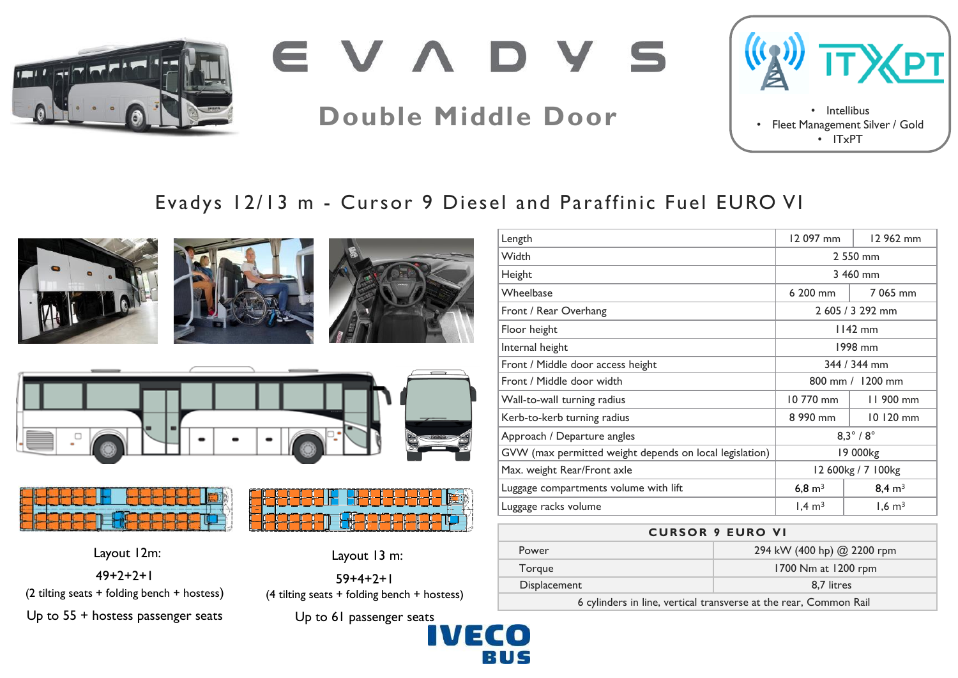

EVADYS

# **Double Middle Door** • Intellibus



## Evadys 12/13 m - Cursor 9 Diesel and Paraffinic Fuel EURO VI











Layout 12m:  $49+7+7+1$ (2 tilting seats + folding bench + hostess) Up to 55 + hostess passenger seats



Layout 13 m:

 $59+4+2+1$ (4 tilting seats + folding bench + hostess)

Up to 61 passenger seats

| Length                                                  | 12 097 mm           | 12 962 mm         |
|---------------------------------------------------------|---------------------|-------------------|
| Width                                                   | 2 550 mm            |                   |
| Height                                                  | 3 460 mm            |                   |
| Wheelbase                                               | 6 200 mm            | 7 065 mm          |
| Front / Rear Overhang                                   | 2 605 / 3 292 mm    |                   |
| Floor height                                            | $1142$ mm           |                   |
| Internal height                                         | 1998 mm             |                   |
| Front / Middle door access height                       | 344 / 344 mm        |                   |
| Front / Middle door width                               | 800 mm / 1200 mm    |                   |
| Wall-to-wall turning radius                             | 10 770 mm           | 11 900 mm         |
| Kerb-to-kerb turning radius                             | 8 990 mm            | 10 120 mm         |
| Approach / Departure angles                             | $8.3^\circ/8^\circ$ |                   |
| GVW (max permitted weight depends on local legislation) | 19 000kg            |                   |
| Max. weight Rear/Front axle                             | 12 600kg / 7 100kg  |                   |
| Luggage compartments volume with lift                   | 6,8 $m3$            | $8,4 \text{ m}^3$ |
| Luggage racks volume                                    | $1,4 \text{ m}^3$   | $1,6 \text{ m}^3$ |

### **CURSOR 9 EURO VI**

| Power        | 294 kW (400 hp) @ 2200 rpm |  |
|--------------|----------------------------|--|
| Torgue       | 1700 Nm at 1200 rpm        |  |
| Displacement | 8.7 litres                 |  |
|              |                            |  |

6 cylinders in line, vertical transverse at the rear, Common Rail